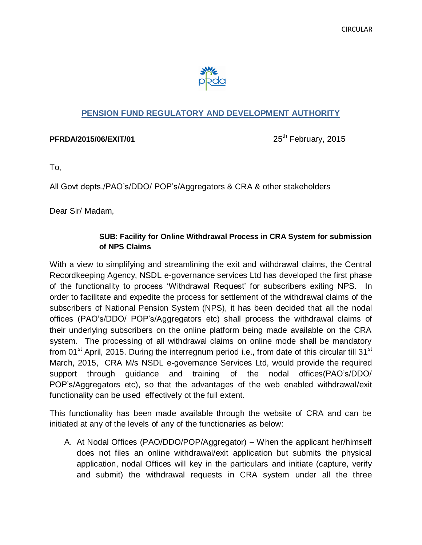

# **PENSION FUND REGULATORY AND DEVELOPMENT AUTHORITY**

## **PFRDA/2015/06/EXIT/01** 25<sup>th</sup> February, 2015

To,

All Govt depts./PAO's/DDO/ POP's/Aggregators & CRA & other stakeholders

Dear Sir/ Madam,

## **SUB: Facility for Online Withdrawal Process in CRA System for submission of NPS Claims**

With a view to simplifying and streamlining the exit and withdrawal claims, the Central Recordkeeping Agency, NSDL e-governance services Ltd has developed the first phase of the functionality to process 'Withdrawal Request' for subscribers exiting NPS. In order to facilitate and expedite the process for settlement of the withdrawal claims of the subscribers of National Pension System (NPS), it has been decided that all the nodal offices (PAO's/DDO/ POP's/Aggregators etc) shall process the withdrawal claims of their underlying subscribers on the online platform being made available on the CRA system. The processing of all withdrawal claims on online mode shall be mandatory from 01<sup>st</sup> April, 2015. During the interregnum period i.e., from date of this circular till 31<sup>st</sup> March, 2015, CRA M/s NSDL e-governance Services Ltd, would provide the required support through guidance and training of the nodal offices(PAO's/DDO/ POP's/Aggregators etc), so that the advantages of the web enabled withdrawal/exit functionality can be used effectively ot the full extent.

This functionality has been made available through the website of CRA and can be initiated at any of the levels of any of the functionaries as below:

A. At Nodal Offices (PAO/DDO/POP/Aggregator) – When the applicant her/himself does not files an online withdrawal/exit application but submits the physical application, nodal Offices will key in the particulars and initiate (capture, verify and submit) the withdrawal requests in CRA system under all the three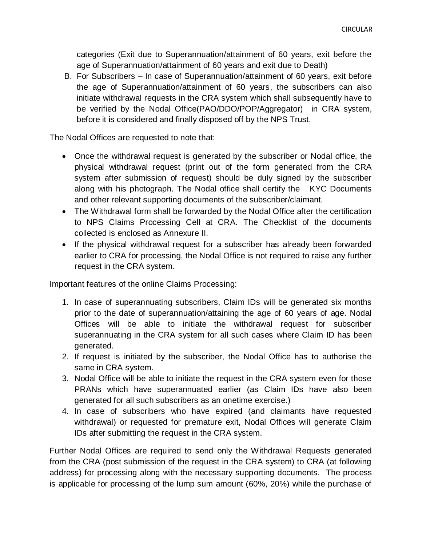categories (Exit due to Superannuation/attainment of 60 years, exit before the age of Superannuation/attainment of 60 years and exit due to Death)

B. For Subscribers – In case of Superannuation/attainment of 60 years, exit before the age of Superannuation/attainment of 60 years, the subscribers can also initiate withdrawal requests in the CRA system which shall subsequently have to be verified by the Nodal Office(PAO/DDO/POP/Aggregator) in CRA system, before it is considered and finally disposed off by the NPS Trust.

The Nodal Offices are requested to note that:

- Once the withdrawal request is generated by the subscriber or Nodal office, the physical withdrawal request (print out of the form generated from the CRA system after submission of request) should be duly signed by the subscriber along with his photograph. The Nodal office shall certify the KYC Documents and other relevant supporting documents of the subscriber/claimant.
- The Withdrawal form shall be forwarded by the Nodal Office after the certification to NPS Claims Processing Cell at CRA. The Checklist of the documents collected is enclosed as Annexure II.
- If the physical withdrawal request for a subscriber has already been forwarded earlier to CRA for processing, the Nodal Office is not required to raise any further request in the CRA system.

Important features of the online Claims Processing:

- 1. In case of superannuating subscribers, Claim IDs will be generated six months prior to the date of superannuation/attaining the age of 60 years of age. Nodal Offices will be able to initiate the withdrawal request for subscriber superannuating in the CRA system for all such cases where Claim ID has been generated.
- 2. If request is initiated by the subscriber, the Nodal Office has to authorise the same in CRA system.
- 3. Nodal Office will be able to initiate the request in the CRA system even for those PRANs which have superannuated earlier (as Claim IDs have also been generated for all such subscribers as an onetime exercise.)
- 4. In case of subscribers who have expired (and claimants have requested withdrawal) or requested for premature exit, Nodal Offices will generate Claim IDs after submitting the request in the CRA system.

Further Nodal Offices are required to send only the Withdrawal Requests generated from the CRA (post submission of the request in the CRA system) to CRA (at following address) for processing along with the necessary supporting documents. The process is applicable for processing of the lump sum amount (60%, 20%) while the purchase of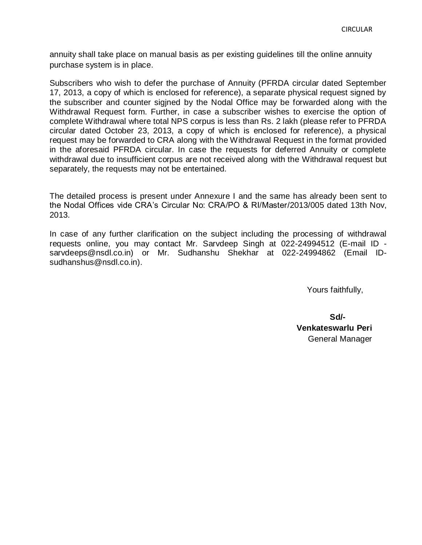annuity shall take place on manual basis as per existing guidelines till the online annuity purchase system is in place.

Subscribers who wish to defer the purchase of Annuity (PFRDA circular dated September 17, 2013, a copy of which is enclosed for reference), a separate physical request signed by the subscriber and counter sigjned by the Nodal Office may be forwarded along with the Withdrawal Request form. Further, in case a subscriber wishes to exercise the option of complete Withdrawal where total NPS corpus is less than Rs. 2 lakh (please refer to PFRDA circular dated October 23, 2013, a copy of which is enclosed for reference), a physical request may be forwarded to CRA along with the Withdrawal Request in the format provided in the aforesaid PFRDA circular. In case the requests for deferred Annuity or complete withdrawal due to insufficient corpus are not received along with the Withdrawal request but separately, the requests may not be entertained.

The detailed process is present under Annexure I and the same has already been sent to the Nodal Offices vide CRA's Circular No: CRA/PO & RI/Master/2013/005 dated 13th Nov, 2013.

In case of any further clarification on the subject including the processing of withdrawal requests online, you may contact Mr. Sarvdeep Singh at 022-24994512 (E-mail ID sarvdeeps@nsdl.co.in) or Mr. Sudhanshu Shekhar at 022-24994862 (Email IDsudhanshus@nsdl.co.in).

Yours faithfully,

 **Sd/- Venkateswarlu Peri**  General Manager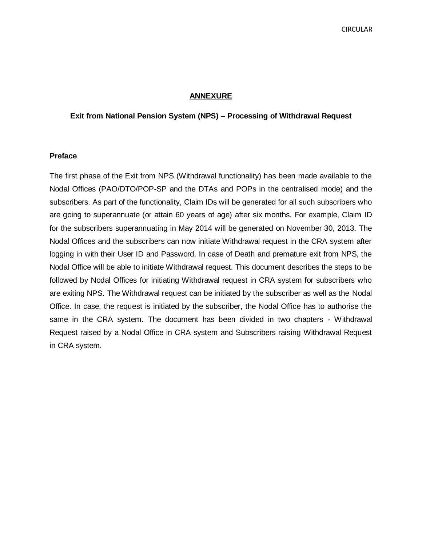#### **ANNEXURE**

### **Exit from National Pension System (NPS) – Processing of Withdrawal Request**

#### **Preface**

The first phase of the Exit from NPS (Withdrawal functionality) has been made available to the Nodal Offices (PAO/DTO/POP-SP and the DTAs and POPs in the centralised mode) and the subscribers. As part of the functionality, Claim IDs will be generated for all such subscribers who are going to superannuate (or attain 60 years of age) after six months. For example, Claim ID for the subscribers superannuating in May 2014 will be generated on November 30, 2013. The Nodal Offices and the subscribers can now initiate Withdrawal request in the CRA system after logging in with their User ID and Password. In case of Death and premature exit from NPS, the Nodal Office will be able to initiate Withdrawal request. This document describes the steps to be followed by Nodal Offices for initiating Withdrawal request in CRA system for subscribers who are exiting NPS. The Withdrawal request can be initiated by the subscriber as well as the Nodal Office. In case, the request is initiated by the subscriber, the Nodal Office has to authorise the same in the CRA system. The document has been divided in two chapters - Withdrawal Request raised by a Nodal Office in CRA system and Subscribers raising Withdrawal Request in CRA system.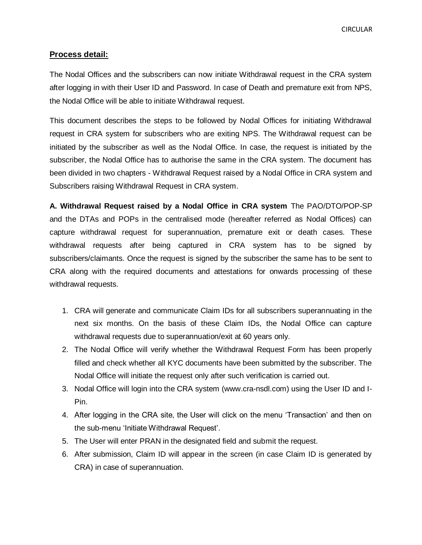CIRCULAR

### **Process detail:**

The Nodal Offices and the subscribers can now initiate Withdrawal request in the CRA system after logging in with their User ID and Password. In case of Death and premature exit from NPS, the Nodal Office will be able to initiate Withdrawal request.

This document describes the steps to be followed by Nodal Offices for initiating Withdrawal request in CRA system for subscribers who are exiting NPS. The Withdrawal request can be initiated by the subscriber as well as the Nodal Office. In case, the request is initiated by the subscriber, the Nodal Office has to authorise the same in the CRA system. The document has been divided in two chapters - Withdrawal Request raised by a Nodal Office in CRA system and Subscribers raising Withdrawal Request in CRA system.

**A. Withdrawal Request raised by a Nodal Office in CRA system** The PAO/DTO/POP-SP and the DTAs and POPs in the centralised mode (hereafter referred as Nodal Offices) can capture withdrawal request for superannuation, premature exit or death cases. These withdrawal requests after being captured in CRA system has to be signed by subscribers/claimants. Once the request is signed by the subscriber the same has to be sent to CRA along with the required documents and attestations for onwards processing of these withdrawal requests.

- 1. CRA will generate and communicate Claim IDs for all subscribers superannuating in the next six months. On the basis of these Claim IDs, the Nodal Office can capture withdrawal requests due to superannuation/exit at 60 years only.
- 2. The Nodal Office will verify whether the Withdrawal Request Form has been properly filled and check whether all KYC documents have been submitted by the subscriber. The Nodal Office will initiate the request only after such verification is carried out.
- 3. Nodal Office will login into the CRA system (www.cra-nsdl.com) using the User ID and I-Pin.
- 4. After logging in the CRA site, the User will click on the menu 'Transaction' and then on the sub-menu 'Initiate Withdrawal Request'.
- 5. The User will enter PRAN in the designated field and submit the request.
- 6. After submission, Claim ID will appear in the screen (in case Claim ID is generated by CRA) in case of superannuation.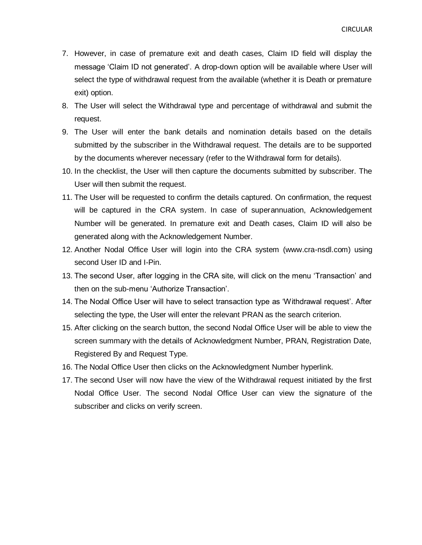- 7. However, in case of premature exit and death cases, Claim ID field will display the message 'Claim ID not generated'. A drop-down option will be available where User will select the type of withdrawal request from the available (whether it is Death or premature exit) option.
- 8. The User will select the Withdrawal type and percentage of withdrawal and submit the request.
- 9. The User will enter the bank details and nomination details based on the details submitted by the subscriber in the Withdrawal request. The details are to be supported by the documents wherever necessary (refer to the Withdrawal form for details).
- 10. In the checklist, the User will then capture the documents submitted by subscriber. The User will then submit the request.
- 11. The User will be requested to confirm the details captured. On confirmation, the request will be captured in the CRA system. In case of superannuation, Acknowledgement Number will be generated. In premature exit and Death cases, Claim ID will also be generated along with the Acknowledgement Number.
- 12. Another Nodal Office User will login into the CRA system (www.cra-nsdl.com) using second User ID and I-Pin.
- 13. The second User, after logging in the CRA site, will click on the menu 'Transaction' and then on the sub-menu 'Authorize Transaction'.
- 14. The Nodal Office User will have to select transaction type as 'Withdrawal request'. After selecting the type, the User will enter the relevant PRAN as the search criterion.
- 15. After clicking on the search button, the second Nodal Office User will be able to view the screen summary with the details of Acknowledgment Number, PRAN, Registration Date, Registered By and Request Type.
- 16. The Nodal Office User then clicks on the Acknowledgment Number hyperlink.
- 17. The second User will now have the view of the Withdrawal request initiated by the first Nodal Office User. The second Nodal Office User can view the signature of the subscriber and clicks on verify screen.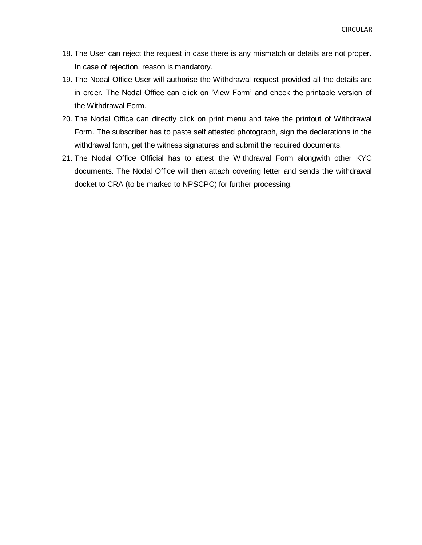- 18. The User can reject the request in case there is any mismatch or details are not proper. In case of rejection, reason is mandatory.
- 19. The Nodal Office User will authorise the Withdrawal request provided all the details are in order. The Nodal Office can click on 'View Form' and check the printable version of the Withdrawal Form.
- 20. The Nodal Office can directly click on print menu and take the printout of Withdrawal Form. The subscriber has to paste self attested photograph, sign the declarations in the withdrawal form, get the witness signatures and submit the required documents.
- 21. The Nodal Office Official has to attest the Withdrawal Form alongwith other KYC documents. The Nodal Office will then attach covering letter and sends the withdrawal docket to CRA (to be marked to NPSCPC) for further processing.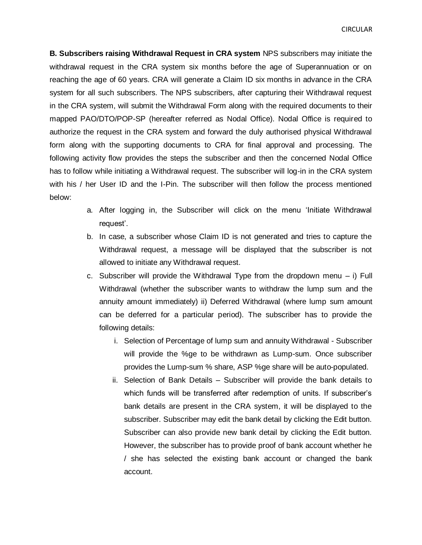**B. Subscribers raising Withdrawal Request in CRA system** NPS subscribers may initiate the withdrawal request in the CRA system six months before the age of Superannuation or on reaching the age of 60 years. CRA will generate a Claim ID six months in advance in the CRA system for all such subscribers. The NPS subscribers, after capturing their Withdrawal request in the CRA system, will submit the Withdrawal Form along with the required documents to their mapped PAO/DTO/POP-SP (hereafter referred as Nodal Office). Nodal Office is required to authorize the request in the CRA system and forward the duly authorised physical Withdrawal form along with the supporting documents to CRA for final approval and processing. The following activity flow provides the steps the subscriber and then the concerned Nodal Office has to follow while initiating a Withdrawal request. The subscriber will log-in in the CRA system with his / her User ID and the I-Pin. The subscriber will then follow the process mentioned below:

- a. After logging in, the Subscriber will click on the menu 'Initiate Withdrawal request'.
- b. In case, a subscriber whose Claim ID is not generated and tries to capture the Withdrawal request, a message will be displayed that the subscriber is not allowed to initiate any Withdrawal request.
- c. Subscriber will provide the Withdrawal Type from the dropdown menu  $-$  i) Full Withdrawal (whether the subscriber wants to withdraw the lump sum and the annuity amount immediately) ii) Deferred Withdrawal (where lump sum amount can be deferred for a particular period). The subscriber has to provide the following details:
	- i. Selection of Percentage of lump sum and annuity Withdrawal Subscriber will provide the %ge to be withdrawn as Lump-sum. Once subscriber provides the Lump-sum % share, ASP %ge share will be auto-populated.
	- ii. Selection of Bank Details Subscriber will provide the bank details to which funds will be transferred after redemption of units. If subscriber's bank details are present in the CRA system, it will be displayed to the subscriber. Subscriber may edit the bank detail by clicking the Edit button. Subscriber can also provide new bank detail by clicking the Edit button. However, the subscriber has to provide proof of bank account whether he / she has selected the existing bank account or changed the bank account.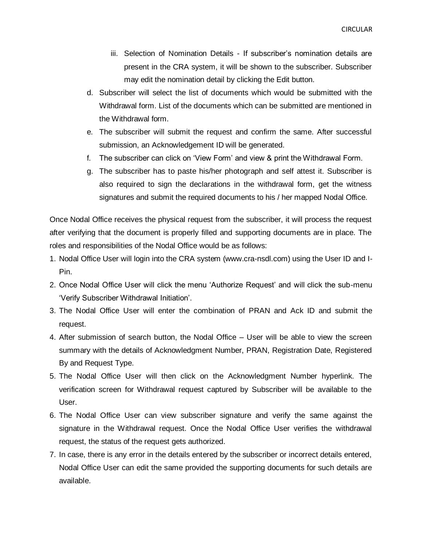- iii. Selection of Nomination Details If subscriber's nomination details are present in the CRA system, it will be shown to the subscriber. Subscriber may edit the nomination detail by clicking the Edit button.
- d. Subscriber will select the list of documents which would be submitted with the Withdrawal form. List of the documents which can be submitted are mentioned in the Withdrawal form.
- e. The subscriber will submit the request and confirm the same. After successful submission, an Acknowledgement ID will be generated.
- f. The subscriber can click on 'View Form' and view & print the Withdrawal Form.
- g. The subscriber has to paste his/her photograph and self attest it. Subscriber is also required to sign the declarations in the withdrawal form, get the witness signatures and submit the required documents to his / her mapped Nodal Office.

Once Nodal Office receives the physical request from the subscriber, it will process the request after verifying that the document is properly filled and supporting documents are in place. The roles and responsibilities of the Nodal Office would be as follows:

- 1. Nodal Office User will login into the CRA system (www.cra-nsdl.com) using the User ID and I-Pin.
- 2. Once Nodal Office User will click the menu 'Authorize Request' and will click the sub-menu 'Verify Subscriber Withdrawal Initiation'.
- 3. The Nodal Office User will enter the combination of PRAN and Ack ID and submit the request.
- 4. After submission of search button, the Nodal Office User will be able to view the screen summary with the details of Acknowledgment Number, PRAN, Registration Date, Registered By and Request Type.
- 5. The Nodal Office User will then click on the Acknowledgment Number hyperlink. The verification screen for Withdrawal request captured by Subscriber will be available to the User.
- 6. The Nodal Office User can view subscriber signature and verify the same against the signature in the Withdrawal request. Once the Nodal Office User verifies the withdrawal request, the status of the request gets authorized.
- 7. In case, there is any error in the details entered by the subscriber or incorrect details entered, Nodal Office User can edit the same provided the supporting documents for such details are available.